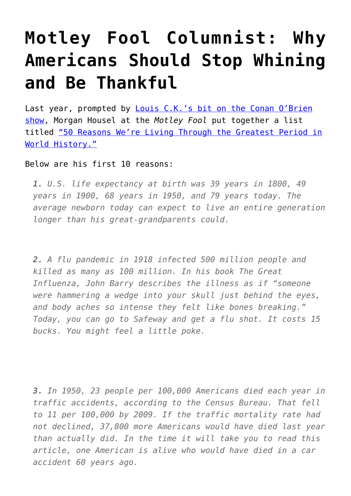## **[Motley Fool Columnist: Why](https://intellectualtakeout.org/2015/08/motley-fool-columnist-why-americans-should-stop-whining-and-be-thankful/) [Americans Should Stop Whining](https://intellectualtakeout.org/2015/08/motley-fool-columnist-why-americans-should-stop-whining-and-be-thankful/) [and Be Thankful](https://intellectualtakeout.org/2015/08/motley-fool-columnist-why-americans-should-stop-whining-and-be-thankful/)**

Last year, prompted by **Louis C.K.'s bit on the Conan O'Brien** [show](https://www.youtube.com/watch?v=uEY58fiSK8E), Morgan Housel at the *Motley Fool* put together a list titled ["50 Reasons We're Living Through the Greatest Period in](http://www.fool.com/investing/general/2014/01/29/50-reasons-were-living-through-the-greatest-period.aspx) [World History."](http://www.fool.com/investing/general/2014/01/29/50-reasons-were-living-through-the-greatest-period.aspx)

Below are his first 10 reasons:

*1. U.S. life expectancy at birth was 39 years in 1800, 49 years in 1900, 68 years in 1950, and 79 years today. The average newborn today can expect to live an entire generation longer than his great-grandparents could.*

*2. A flu pandemic in 1918 infected 500 million people and killed as many as 100 million. In his book The Great Influenza, John Barry describes the illness as if "someone were hammering a wedge into your skull just behind the eyes, and body aches so intense they felt like bones breaking." Today, you can go to Safeway and get a flu shot. It costs 15 bucks. You might feel a little poke.*

*3. In 1950, 23 people per 100,000 Americans died each year in traffic accidents, according to the Census Bureau. That fell to 11 per 100,000 by 2009. If the traffic mortality rate had not declined, 37,800 more Americans would have died last year than actually did. In the time it will take you to read this article, one American is alive who would have died in a car accident 60 years ago.*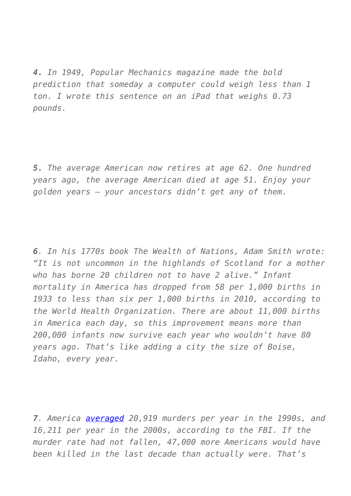*4. In 1949, Popular Mechanics magazine made the bold prediction that someday a computer could weigh less than 1 ton. I wrote this sentence on an iPad that weighs 0.73 pounds.*

*5. The average American now retires at age 62. One hundred years ago, the average American died at age 51. Enjoy your golden years — your ancestors didn't get any of them.*

*6. In his 1770s book The Wealth of Nations, Adam Smith wrote: "It is not uncommon in the highlands of Scotland for a mother who has borne 20 children not to have 2 alive." Infant mortality in America has dropped from 58 per 1,000 births in 1933 to less than six per 1,000 births in 2010, according to the World Health Organization. There are about 11,000 births in America each day, so this improvement means more than 200,000 infants now survive each year who wouldn't have 80 years ago. That's like adding a city the size of Boise, Idaho, every year.* 

*7. America [averaged](http://www.fbi.gov/about-us/cjis/ucr/crime-in-the-u.s/2010/crime-in-the-u.s.-2010/tables/10tbl01.xls) 20,919 murders per year in the 1990s, and 16,211 per year in the 2000s, according to the FBI. If the murder rate had not fallen, 47,000 more Americans would have been killed in the last decade than actually were. That's*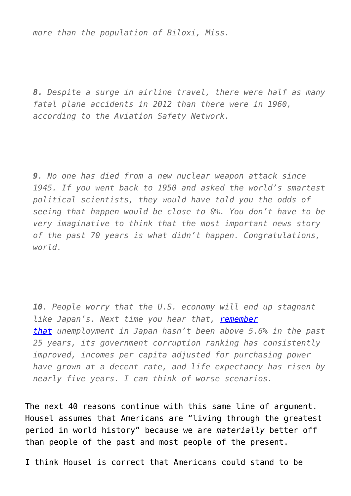*more than the population of Biloxi, Miss.*

*8. Despite a surge in airline travel, there were half as many fatal plane accidents in 2012 than there were in 1960, according to the Aviation Safety Network.* 

*9. No one has died from a new nuclear weapon attack since 1945. If you went back to 1950 and asked the world's smartest political scientists, they would have told you the odds of seeing that happen would be close to 0%. You don't have to be very imaginative to think that the most important news story of the past 70 years is what didn't happen. Congratulations, world.*

*10. People worry that the U.S. economy will end up stagnant like Japan's. Next time you hear that, [remember](http://www.fool.com/investing/general/2012/02/03/if-japan-is-our-worst-case-scenario-were-all-righ.aspx) [that](http://www.fool.com/investing/general/2012/02/03/if-japan-is-our-worst-case-scenario-were-all-righ.aspx) unemployment in Japan hasn't been above 5.6% in the past 25 years, its government corruption ranking has consistently improved, incomes per capita adjusted for purchasing power have grown at a decent rate, and life expectancy has risen by nearly five years. I can think of worse scenarios.*

The next 40 reasons continue with this same line of argument. Housel assumes that Americans are "living through the greatest period in world history" because we are *materially* better off than people of the past and most people of the present.

I think Housel is correct that Americans could stand to be